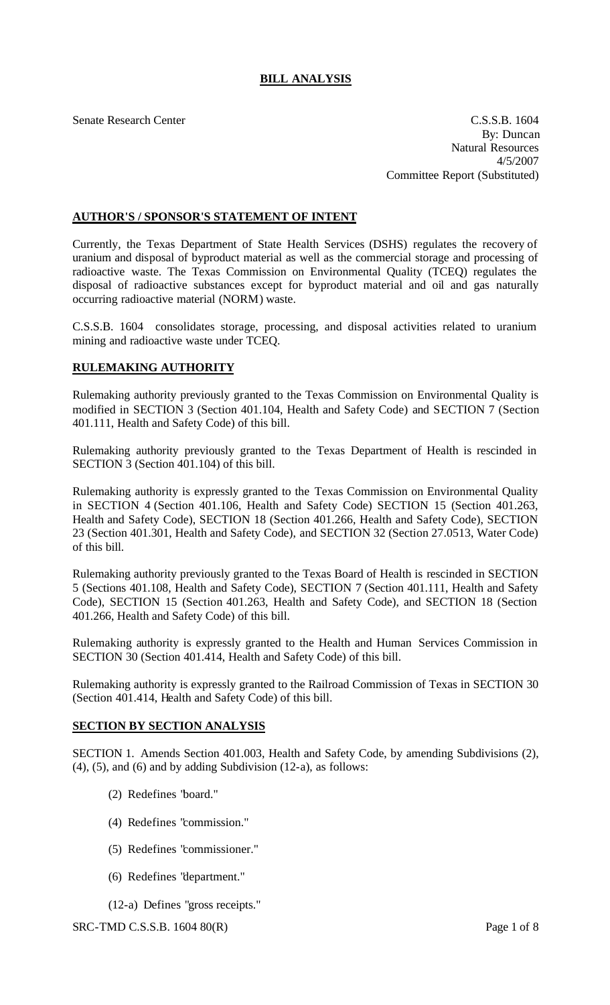# **BILL ANALYSIS**

Senate Research Center C.S.S.B. 1604 By: Duncan Natural Resources 4/5/2007 Committee Report (Substituted)

## **AUTHOR'S / SPONSOR'S STATEMENT OF INTENT**

Currently, the Texas Department of State Health Services (DSHS) regulates the recovery of uranium and disposal of byproduct material as well as the commercial storage and processing of radioactive waste. The Texas Commission on Environmental Quality (TCEQ) regulates the disposal of radioactive substances except for byproduct material and oil and gas naturally occurring radioactive material (NORM) waste.

C.S.S.B. 1604 consolidates storage, processing, and disposal activities related to uranium mining and radioactive waste under TCEQ.

### **RULEMAKING AUTHORITY**

Rulemaking authority previously granted to the Texas Commission on Environmental Quality is modified in SECTION 3 (Section 401.104, Health and Safety Code) and SECTION 7 (Section 401.111, Health and Safety Code) of this bill.

Rulemaking authority previously granted to the Texas Department of Health is rescinded in SECTION 3 (Section 401.104) of this bill.

Rulemaking authority is expressly granted to the Texas Commission on Environmental Quality in SECTION 4 (Section 401.106, Health and Safety Code) SECTION 15 (Section 401.263, Health and Safety Code), SECTION 18 (Section 401.266, Health and Safety Code), SECTION 23 (Section 401.301, Health and Safety Code), and SECTION 32 (Section 27.0513, Water Code) of this bill.

Rulemaking authority previously granted to the Texas Board of Health is rescinded in SECTION 5 (Sections 401.108, Health and Safety Code), SECTION 7 (Section 401.111, Health and Safety Code), SECTION 15 (Section 401.263, Health and Safety Code), and SECTION 18 (Section 401.266, Health and Safety Code) of this bill.

Rulemaking authority is expressly granted to the Health and Human Services Commission in SECTION 30 (Section 401.414, Health and Safety Code) of this bill.

Rulemaking authority is expressly granted to the Railroad Commission of Texas in SECTION 30 (Section 401.414, Health and Safety Code) of this bill.

### **SECTION BY SECTION ANALYSIS**

SECTION 1. Amends Section 401.003, Health and Safety Code, by amending Subdivisions (2),  $(4)$ ,  $(5)$ , and  $(6)$  and by adding Subdivision  $(12-a)$ , as follows:

- (2) Redefines "board."
- (4) Redefines "commission."
- (5) Redefines "commissioner."
- (6) Redefines "department."
- (12-a) Defines "gross receipts."

SRC-TMD C.S.S.B. 1604 80(R) Page 1 of 8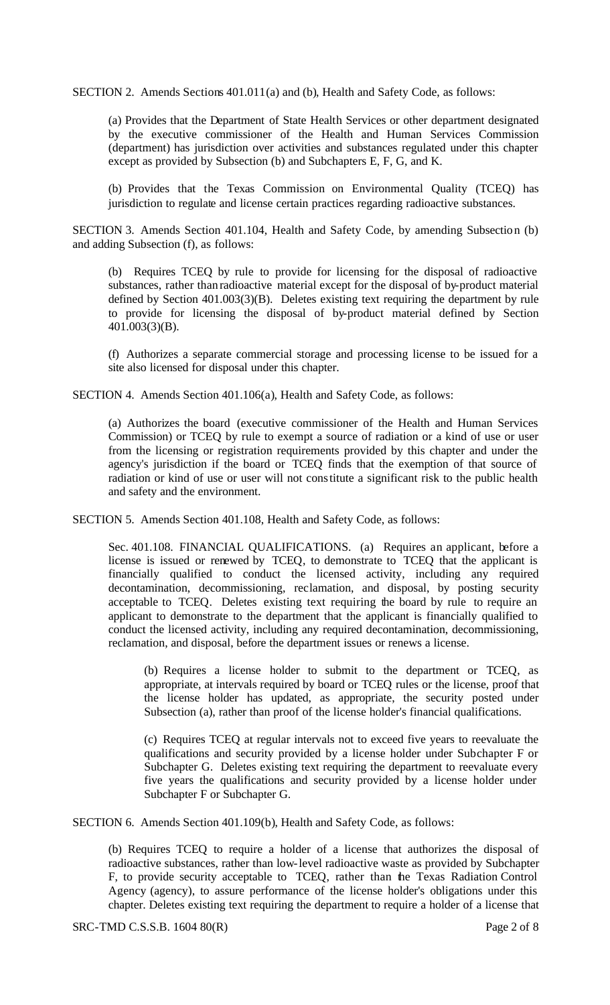SECTION 2. Amends Sections 401.011(a) and (b), Health and Safety Code, as follows:

(a) Provides that the Department of State Health Services or other department designated by the executive commissioner of the Health and Human Services Commission (department) has jurisdiction over activities and substances regulated under this chapter except as provided by Subsection (b) and Subchapters E, F, G, and K.

(b) Provides that the Texas Commission on Environmental Quality (TCEQ) has jurisdiction to regulate and license certain practices regarding radioactive substances.

SECTION 3. Amends Section 401.104, Health and Safety Code, by amending Subsection (b) and adding Subsection (f), as follows:

(b) Requires TCEQ by rule to provide for licensing for the disposal of radioactive substances, rather than radioactive material except for the disposal of by-product material defined by Section 401.003(3)(B). Deletes existing text requiring the department by rule to provide for licensing the disposal of by-product material defined by Section 401.003(3)(B).

(f) Authorizes a separate commercial storage and processing license to be issued for a site also licensed for disposal under this chapter.

SECTION 4. Amends Section 401.106(a), Health and Safety Code, as follows:

(a) Authorizes the board (executive commissioner of the Health and Human Services Commission) or TCEQ by rule to exempt a source of radiation or a kind of use or user from the licensing or registration requirements provided by this chapter and under the agency's jurisdiction if the board or TCEQ finds that the exemption of that source of radiation or kind of use or user will not constitute a significant risk to the public health and safety and the environment.

SECTION 5. Amends Section 401.108, Health and Safety Code, as follows:

Sec. 401.108. FINANCIAL QUALIFICATIONS. (a) Requires an applicant, before a license is issued or renewed by TCEQ, to demonstrate to TCEQ that the applicant is financially qualified to conduct the licensed activity, including any required decontamination, decommissioning, reclamation, and disposal, by posting security acceptable to TCEQ. Deletes existing text requiring the board by rule to require an applicant to demonstrate to the department that the applicant is financially qualified to conduct the licensed activity, including any required decontamination, decommissioning, reclamation, and disposal, before the department issues or renews a license.

(b) Requires a license holder to submit to the department or TCEQ, as appropriate, at intervals required by board or TCEQ rules or the license, proof that the license holder has updated, as appropriate, the security posted under Subsection (a), rather than proof of the license holder's financial qualifications.

(c) Requires TCEQ at regular intervals not to exceed five years to reevaluate the qualifications and security provided by a license holder under Subchapter F or Subchapter G. Deletes existing text requiring the department to reevaluate every five years the qualifications and security provided by a license holder under Subchapter F or Subchapter G.

SECTION 6. Amends Section 401.109(b), Health and Safety Code, as follows:

(b) Requires TCEQ to require a holder of a license that authorizes the disposal of radioactive substances, rather than low-level radioactive waste as provided by Subchapter F, to provide security acceptable to TCEQ, rather than the Texas Radiation Control Agency (agency), to assure performance of the license holder's obligations under this chapter. Deletes existing text requiring the department to require a holder of a license that

SRC-TMD C.S.S.B. 1604 80(R) Page 2 of 8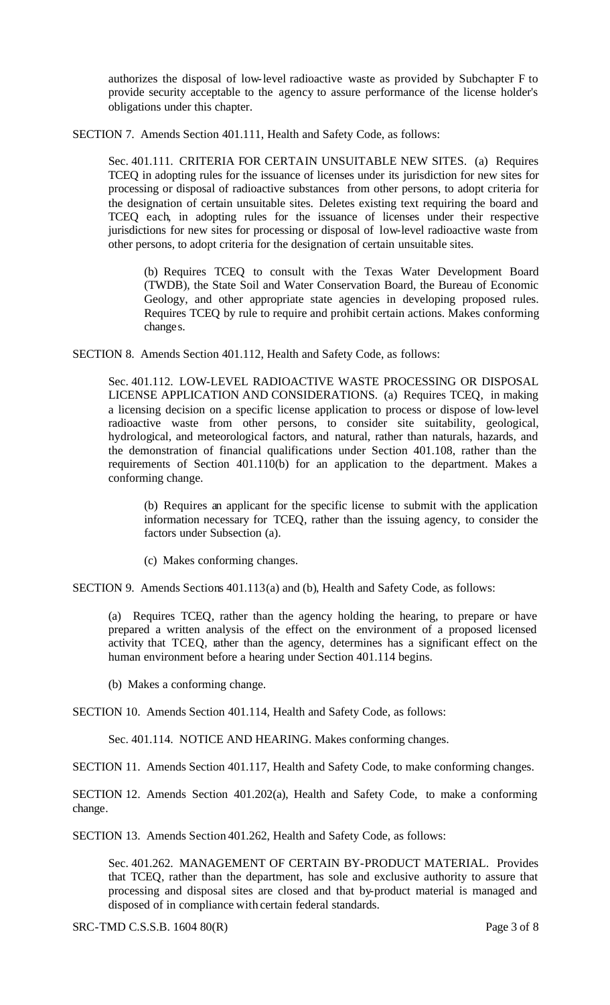authorizes the disposal of low-level radioactive waste as provided by Subchapter F to provide security acceptable to the agency to assure performance of the license holder's obligations under this chapter.

SECTION 7. Amends Section 401.111, Health and Safety Code, as follows:

Sec. 401.111. CRITERIA FOR CERTAIN UNSUITABLE NEW SITES. (a) Requires TCEQ in adopting rules for the issuance of licenses under its jurisdiction for new sites for processing or disposal of radioactive substances from other persons, to adopt criteria for the designation of certain unsuitable sites. Deletes existing text requiring the board and TCEQ each, in adopting rules for the issuance of licenses under their respective jurisdictions for new sites for processing or disposal of low-level radioactive waste from other persons, to adopt criteria for the designation of certain unsuitable sites.

(b) Requires TCEQ to consult with the Texas Water Development Board (TWDB), the State Soil and Water Conservation Board, the Bureau of Economic Geology, and other appropriate state agencies in developing proposed rules. Requires TCEQ by rule to require and prohibit certain actions. Makes conforming changes.

SECTION 8. Amends Section 401.112, Health and Safety Code, as follows:

Sec. 401.112. LOW-LEVEL RADIOACTIVE WASTE PROCESSING OR DISPOSAL LICENSE APPLICATION AND CONSIDERATIONS. (a) Requires TCEQ, in making a licensing decision on a specific license application to process or dispose of low-level radioactive waste from other persons, to consider site suitability, geological, hydrological, and meteorological factors, and natural, rather than naturals, hazards, and the demonstration of financial qualifications under Section 401.108, rather than the requirements of Section 401.110(b) for an application to the department. Makes a conforming change.

(b) Requires an applicant for the specific license to submit with the application information necessary for TCEQ, rather than the issuing agency, to consider the factors under Subsection (a).

(c) Makes conforming changes.

SECTION 9. Amends Sections 401.113(a) and (b), Health and Safety Code, as follows:

(a) Requires TCEQ, rather than the agency holding the hearing, to prepare or have prepared a written analysis of the effect on the environment of a proposed licensed activity that TCEQ, rather than the agency, determines has a significant effect on the human environment before a hearing under Section 401.114 begins.

(b) Makes a conforming change.

SECTION 10. Amends Section 401.114, Health and Safety Code, as follows:

Sec. 401.114. NOTICE AND HEARING. Makes conforming changes.

SECTION 11. Amends Section 401.117, Health and Safety Code, to make conforming changes.

SECTION 12. Amends Section 401.202(a), Health and Safety Code, to make a conforming change.

SECTION 13. Amends Section 401.262, Health and Safety Code, as follows:

Sec. 401.262. MANAGEMENT OF CERTAIN BY-PRODUCT MATERIAL. Provides that TCEQ, rather than the department, has sole and exclusive authority to assure that processing and disposal sites are closed and that by-product material is managed and disposed of in compliance with certain federal standards.

SRC-TMD C.S.S.B. 1604 80(R) Page 3 of 8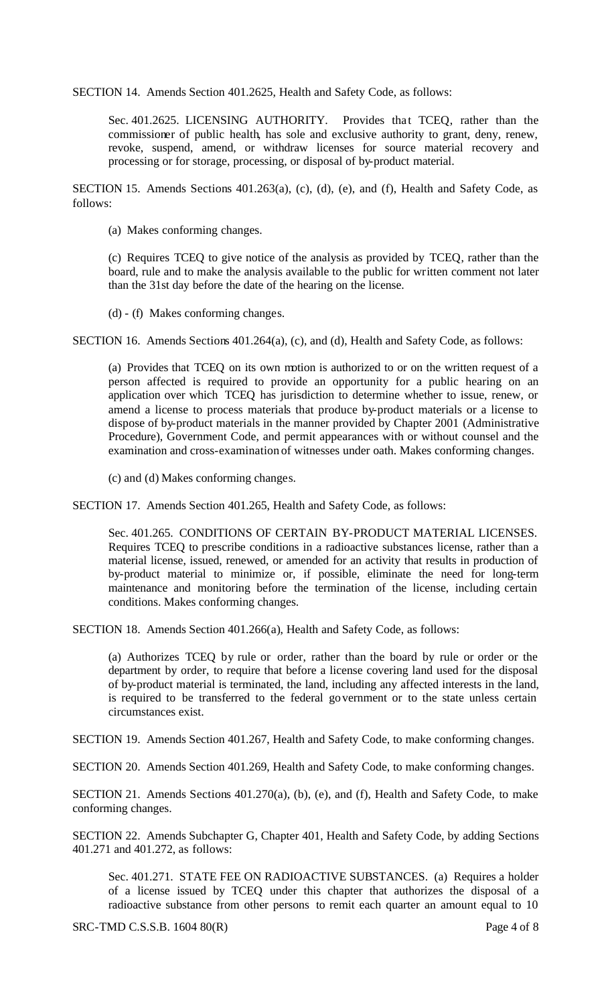SECTION 14. Amends Section 401.2625, Health and Safety Code, as follows:

Sec. 401.2625. LICENSING AUTHORITY. Provides that TCEQ, rather than the commissioner of public health, has sole and exclusive authority to grant, deny, renew, revoke, suspend, amend, or withdraw licenses for source material recovery and processing or for storage, processing, or disposal of by-product material.

SECTION 15. Amends Sections 401.263(a), (c), (d), (e), and (f), Health and Safety Code, as follows:

(a) Makes conforming changes.

(c) Requires TCEQ to give notice of the analysis as provided by TCEQ, rather than the board, rule and to make the analysis available to the public for written comment not later than the 31st day before the date of the hearing on the license.

(d) - (f) Makes conforming changes.

SECTION 16. Amends Sections 401.264(a), (c), and (d), Health and Safety Code, as follows:

(a) Provides that TCEQ on its own motion is authorized to or on the written request of a person affected is required to provide an opportunity for a public hearing on an application over which TCEQ has jurisdiction to determine whether to issue, renew, or amend a license to process materials that produce by-product materials or a license to dispose of by-product materials in the manner provided by Chapter 2001 (Administrative Procedure), Government Code, and permit appearances with or without counsel and the examination and cross-examination of witnesses under oath. Makes conforming changes.

(c) and (d) Makes conforming changes.

SECTION 17. Amends Section 401.265, Health and Safety Code, as follows:

Sec. 401.265. CONDITIONS OF CERTAIN BY-PRODUCT MATERIAL LICENSES. Requires TCEQ to prescribe conditions in a radioactive substances license, rather than a material license, issued, renewed, or amended for an activity that results in production of by-product material to minimize or, if possible, eliminate the need for long-term maintenance and monitoring before the termination of the license, including certain conditions. Makes conforming changes.

SECTION 18. Amends Section 401.266(a), Health and Safety Code, as follows:

(a) Authorizes TCEQ by rule or order, rather than the board by rule or order or the department by order, to require that before a license covering land used for the disposal of by-product material is terminated, the land, including any affected interests in the land, is required to be transferred to the federal government or to the state unless certain circumstances exist.

SECTION 19. Amends Section 401.267, Health and Safety Code, to make conforming changes.

SECTION 20. Amends Section 401.269, Health and Safety Code, to make conforming changes.

SECTION 21. Amends Sections 401.270(a), (b), (e), and (f), Health and Safety Code, to make conforming changes.

SECTION 22. Amends Subchapter G, Chapter 401, Health and Safety Code, by adding Sections 401.271 and 401.272, as follows:

Sec. 401.271. STATE FEE ON RADIOACTIVE SUBSTANCES. (a) Requires a holder of a license issued by TCEQ under this chapter that authorizes the disposal of a radioactive substance from other persons to remit each quarter an amount equal to 10

SRC-TMD C.S.S.B. 1604 80(R) Page 4 of 8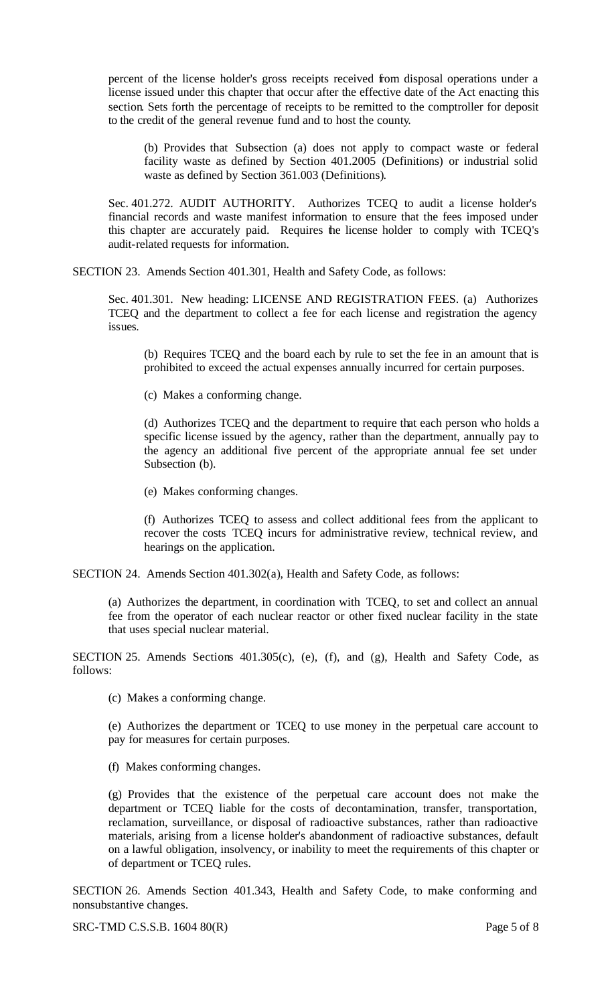percent of the license holder's gross receipts received from disposal operations under a license issued under this chapter that occur after the effective date of the Act enacting this section. Sets forth the percentage of receipts to be remitted to the comptroller for deposit to the credit of the general revenue fund and to host the county.

(b) Provides that Subsection (a) does not apply to compact waste or federal facility waste as defined by Section 401.2005 (Definitions) or industrial solid waste as defined by Section 361.003 (Definitions).

Sec. 401.272. AUDIT AUTHORITY. Authorizes TCEQ to audit a license holder's financial records and waste manifest information to ensure that the fees imposed under this chapter are accurately paid. Requires the license holder to comply with TCEQ's audit-related requests for information.

SECTION 23. Amends Section 401.301, Health and Safety Code, as follows:

Sec. 401.301. New heading: LICENSE AND REGISTRATION FEES. (a) Authorizes TCEQ and the department to collect a fee for each license and registration the agency issues.

(b) Requires TCEQ and the board each by rule to set the fee in an amount that is prohibited to exceed the actual expenses annually incurred for certain purposes.

(c) Makes a conforming change.

(d) Authorizes TCEQ and the department to require that each person who holds a specific license issued by the agency, rather than the department, annually pay to the agency an additional five percent of the appropriate annual fee set under Subsection (b).

(e) Makes conforming changes.

(f) Authorizes TCEQ to assess and collect additional fees from the applicant to recover the costs TCEQ incurs for administrative review, technical review, and hearings on the application.

SECTION 24. Amends Section 401.302(a), Health and Safety Code, as follows:

(a) Authorizes the department, in coordination with TCEQ, to set and collect an annual fee from the operator of each nuclear reactor or other fixed nuclear facility in the state that uses special nuclear material.

SECTION 25. Amends Sections 401.305(c), (e), (f), and (g), Health and Safety Code, as follows:

(c) Makes a conforming change.

(e) Authorizes the department or TCEQ to use money in the perpetual care account to pay for measures for certain purposes.

(f) Makes conforming changes.

(g) Provides that the existence of the perpetual care account does not make the department or TCEQ liable for the costs of decontamination, transfer, transportation, reclamation, surveillance, or disposal of radioactive substances, rather than radioactive materials, arising from a license holder's abandonment of radioactive substances, default on a lawful obligation, insolvency, or inability to meet the requirements of this chapter or of department or TCEQ rules.

SECTION 26. Amends Section 401.343, Health and Safety Code, to make conforming and nonsubstantive changes.

SRC-TMD C.S.S.B. 1604 80(R) Page 5 of 8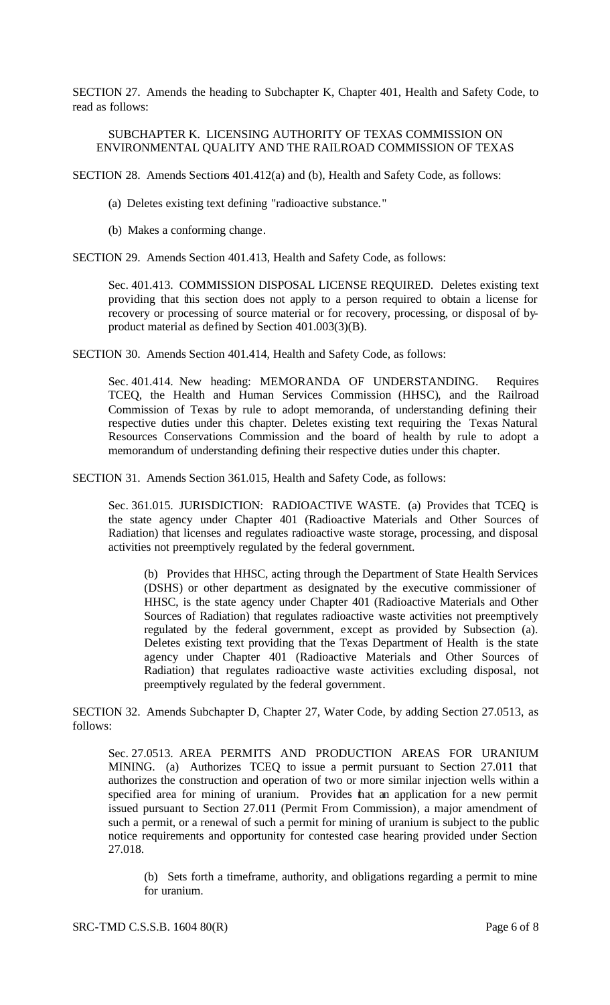SECTION 27. Amends the heading to Subchapter K, Chapter 401, Health and Safety Code, to read as follows:

#### SUBCHAPTER K. LICENSING AUTHORITY OF TEXAS COMMISSION ON ENVIRONMENTAL QUALITY AND THE RAILROAD COMMISSION OF TEXAS

SECTION 28. Amends Sections 401.412(a) and (b), Health and Safety Code, as follows:

- (a) Deletes existing text defining "radioactive substance."
- (b) Makes a conforming change.

SECTION 29. Amends Section 401.413, Health and Safety Code, as follows:

Sec. 401.413. COMMISSION DISPOSAL LICENSE REQUIRED. Deletes existing text providing that this section does not apply to a person required to obtain a license for recovery or processing of source material or for recovery, processing, or disposal of byproduct material as defined by Section 401.003(3)(B).

SECTION 30. Amends Section 401.414, Health and Safety Code, as follows:

Sec. 401.414. New heading: MEMORANDA OF UNDERSTANDING. Requires TCEQ, the Health and Human Services Commission (HHSC), and the Railroad Commission of Texas by rule to adopt memoranda, of understanding defining their respective duties under this chapter. Deletes existing text requiring the Texas Natural Resources Conservations Commission and the board of health by rule to adopt a memorandum of understanding defining their respective duties under this chapter.

SECTION 31. Amends Section 361.015, Health and Safety Code, as follows:

Sec. 361.015. JURISDICTION: RADIOACTIVE WASTE. (a) Provides that TCEQ is the state agency under Chapter 401 (Radioactive Materials and Other Sources of Radiation) that licenses and regulates radioactive waste storage, processing, and disposal activities not preemptively regulated by the federal government.

(b) Provides that HHSC, acting through the Department of State Health Services (DSHS) or other department as designated by the executive commissioner of HHSC, is the state agency under Chapter 401 (Radioactive Materials and Other Sources of Radiation) that regulates radioactive waste activities not preemptively regulated by the federal government, except as provided by Subsection (a). Deletes existing text providing that the Texas Department of Health is the state agency under Chapter 401 (Radioactive Materials and Other Sources of Radiation) that regulates radioactive waste activities excluding disposal, not preemptively regulated by the federal government.

SECTION 32. Amends Subchapter D, Chapter 27, Water Code, by adding Section 27.0513, as follows:

Sec. 27.0513. AREA PERMITS AND PRODUCTION AREAS FOR URANIUM MINING. (a) Authorizes TCEQ to issue a permit pursuant to Section 27.011 that authorizes the construction and operation of two or more similar injection wells within a specified area for mining of uranium. Provides that an application for a new permit issued pursuant to Section 27.011 (Permit From Commission), a major amendment of such a permit, or a renewal of such a permit for mining of uranium is subject to the public notice requirements and opportunity for contested case hearing provided under Section 27.018.

(b) Sets forth a timeframe, authority, and obligations regarding a permit to mine for uranium.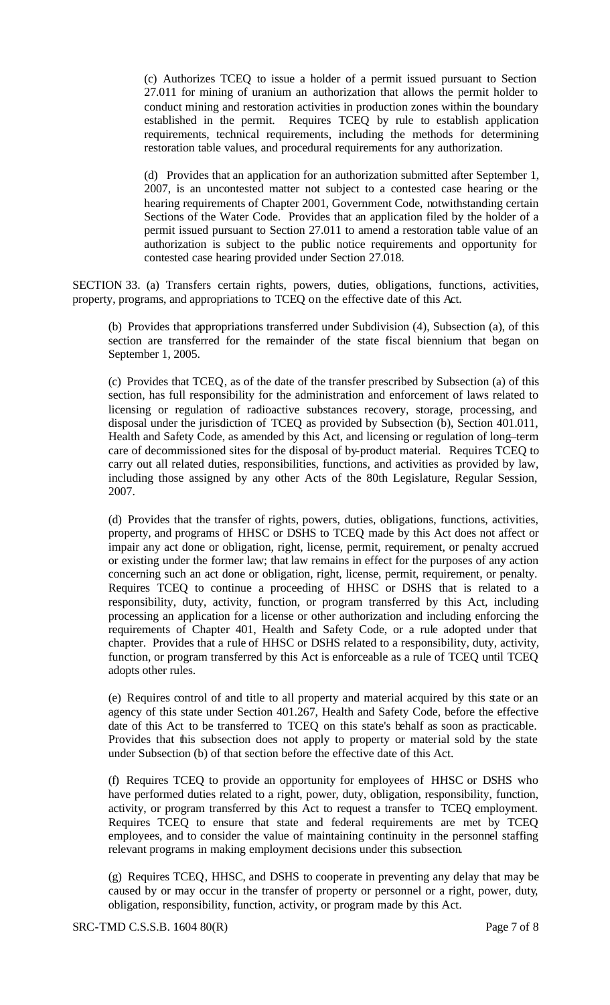(c) Authorizes TCEQ to issue a holder of a permit issued pursuant to Section 27.011 for mining of uranium an authorization that allows the permit holder to conduct mining and restoration activities in production zones within the boundary established in the permit. Requires TCEQ by rule to establish application requirements, technical requirements, including the methods for determining restoration table values, and procedural requirements for any authorization.

(d) Provides that an application for an authorization submitted after September 1, 2007, is an uncontested matter not subject to a contested case hearing or the hearing requirements of Chapter 2001, Government Code, notwithstanding certain Sections of the Water Code. Provides that an application filed by the holder of a permit issued pursuant to Section 27.011 to amend a restoration table value of an authorization is subject to the public notice requirements and opportunity for contested case hearing provided under Section 27.018.

SECTION 33. (a) Transfers certain rights, powers, duties, obligations, functions, activities, property, programs, and appropriations to TCEQ on the effective date of this Act.

(b) Provides that appropriations transferred under Subdivision (4), Subsection (a), of this section are transferred for the remainder of the state fiscal biennium that began on September 1, 2005.

(c) Provides that TCEQ, as of the date of the transfer prescribed by Subsection (a) of this section, has full responsibility for the administration and enforcement of laws related to licensing or regulation of radioactive substances recovery, storage, processing, and disposal under the jurisdiction of TCEQ as provided by Subsection (b), Section 401.011, Health and Safety Code, as amended by this Act, and licensing or regulation of long–term care of decommissioned sites for the disposal of by-product material. Requires TCEQ to carry out all related duties, responsibilities, functions, and activities as provided by law, including those assigned by any other Acts of the 80th Legislature, Regular Session, 2007.

(d) Provides that the transfer of rights, powers, duties, obligations, functions, activities, property, and programs of HHSC or DSHS to TCEQ made by this Act does not affect or impair any act done or obligation, right, license, permit, requirement, or penalty accrued or existing under the former law; that law remains in effect for the purposes of any action concerning such an act done or obligation, right, license, permit, requirement, or penalty. Requires TCEQ to continue a proceeding of HHSC or DSHS that is related to a responsibility, duty, activity, function, or program transferred by this Act, including processing an application for a license or other authorization and including enforcing the requirements of Chapter 401, Health and Safety Code, or a rule adopted under that chapter. Provides that a rule of HHSC or DSHS related to a responsibility, duty, activity, function, or program transferred by this Act is enforceable as a rule of TCEQ until TCEQ adopts other rules.

(e) Requires control of and title to all property and material acquired by this state or an agency of this state under Section 401.267, Health and Safety Code, before the effective date of this Act to be transferred to TCEQ on this state's behalf as soon as practicable. Provides that this subsection does not apply to property or material sold by the state under Subsection (b) of that section before the effective date of this Act.

(f) Requires TCEQ to provide an opportunity for employees of HHSC or DSHS who have performed duties related to a right, power, duty, obligation, responsibility, function, activity, or program transferred by this Act to request a transfer to TCEQ employment. Requires TCEQ to ensure that state and federal requirements are met by TCEQ employees, and to consider the value of maintaining continuity in the personnel staffing relevant programs in making employment decisions under this subsection.

(g) Requires TCEQ, HHSC, and DSHS to cooperate in preventing any delay that may be caused by or may occur in the transfer of property or personnel or a right, power, duty, obligation, responsibility, function, activity, or program made by this Act.